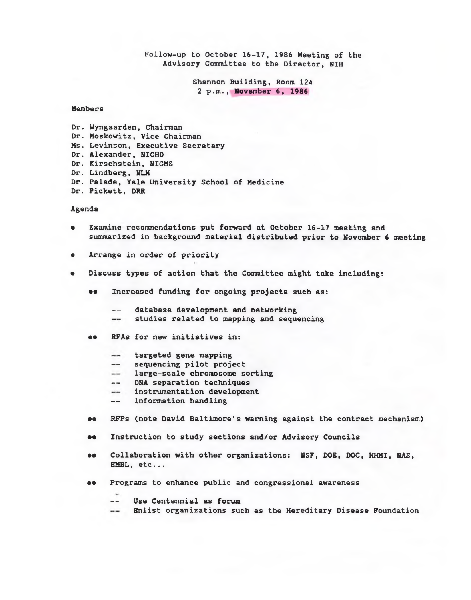**Follow-up to October 16-17, 1986 Meeting of the Advisory Committee to the Director, NIH**

> **Shannon Building, Room 124 2 p.m., November 6, 1986**

## **Members**

**Dr. Wyngaarden, Chairman Dr. Moskowitz, Vice Chairman Ms. Levinson, Executive Secretary Dr. Alexander, NICHD Dr. Kirschstein, NIGMS Dr. Lindberg, NLM Dr. Palade, Yale University School of Medicine Dr. Pickett, DRR**

## **Agenda**

- **Examine recommendations put forward at October 16-17 meeting and summarized in background material distributed prior to November 6 meeting**
- **Arrange in order of priority**
- **Discuss types of action that the Committee might take including:**
	- **•• Increased funding for ongoing projects such as:**
		- **database development and networking**
		- **studies related to mapping and sequencing**  $\qquad \qquad -$
	- **•• RFAs for new initiatives in:**
		- **targeted gene mapping**  $- -$
		- **sequencing pilot project**
		- **large-scale chromosome sorting**
		- **DNA separation techniques**
		- **instrumentation development**
		- **information handling**
	- **•• RFPs (note David Baltimore's warning against the contract mechanism)**
	- **•• Instruction to study sections and/or Advisory Councils**
	- **ee Collaboration with other organizations: NSF, DOE, DOC, HHMI, NAS, EMBL, etc...**
	- **•• Programs to enhance public and congressional awareness**
		- **Use Centennial as forum**
		- $\qquad \qquad -$ **Enlist organizations such as the Hereditary Disease Foundation**